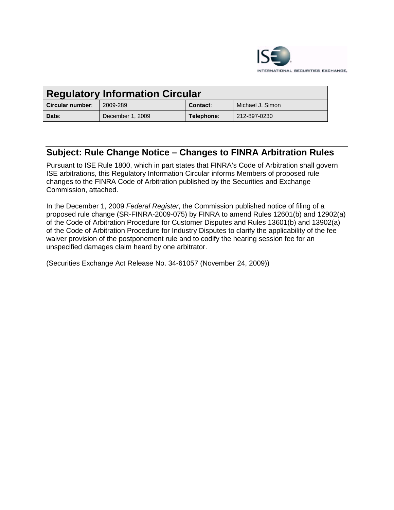

| <b>Regulatory Information Circular</b> |                  |            |                  |
|----------------------------------------|------------------|------------|------------------|
| Circular number:                       | 2009-289         | Contact:   | Michael J. Simon |
| Date:                                  | December 1, 2009 | Telephone: | 212-897-0230     |

# **Subject: Rule Change Notice – Changes to FINRA Arbitration Rules**

Pursuant to ISE Rule 1800, which in part states that FINRA's Code of Arbitration shall govern ISE arbitrations, this Regulatory Information Circular informs Members of proposed rule changes to the FINRA Code of Arbitration published by the Securities and Exchange Commission, attached.

In the December 1, 2009 *Federal Register*, the Commission published notice of filing of a proposed rule change (SR-FINRA-2009-075) by FINRA to amend Rules 12601(b) and 12902(a) of the Code of Arbitration Procedure for Customer Disputes and Rules 13601(b) and 13902(a) of the Code of Arbitration Procedure for Industry Disputes to clarify the applicability of the fee waiver provision of the postponement rule and to codify the hearing session fee for an unspecified damages claim heard by one arbitrator.

(Securities Exchange Act Release No. 34-61057 (November 24, 2009))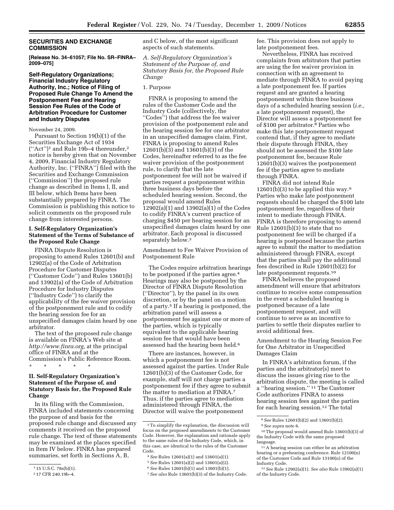### **SECURITIES AND EXCHANGE COMMISSION**

**[Release No. 34–61057; File No. SR–FINRA– 2009–075]** 

### **Self-Regulatory Organizations; Financial Industry Regulatory Authority, Inc.; Notice of Filing of Proposed Rule Change To Amend the Postponement Fee and Hearing Session Fee Rules of the Code of Arbitration Procedure for Customer and Industry Disputes**

November 24, 2009.

Pursuant to Section 19(b)(1) of the Securities Exchange Act of 1934 (''Act'')1 and Rule 19b–4 thereunder,2 notice is hereby given that on November 4, 2009, Financial Industry Regulatory Authority, Inc. (''FINRA'') filed with the Securities and Exchange Commission (''Commission'') the proposed rule change as described in Items I, II, and III below, which Items have been substantially prepared by FINRA. The Commission is publishing this notice to solicit comments on the proposed rule change from interested persons.

### **I. Self-Regulatory Organization's Statement of the Terms of Substance of the Proposed Rule Change**

FINRA Dispute Resolution is proposing to amend Rules 12601(b) and 12902(a) of the Code of Arbitration Procedure for Customer Disputes (''Customer Code'') and Rules 13601(b) and 13902(a) of the Code of Arbitration Procedure for Industry Disputes (''Industry Code'') to clarify the applicability of the fee waiver provision of the postponement rule and to codify the hearing session fee for an unspecified damages claim heard by one arbitrator.

The text of the proposed rule change is available on FINRA's Web site at *http://www.finra.org,* at the principal office of FINRA and at the Commission's Public Reference Room. \* \* \* \* \*

### **II. Self-Regulatory Organization's Statement of the Purpose of, and Statutory Basis for, the Proposed Rule Change**

In its filing with the Commission, FINRA included statements concerning the purpose of and basis for the proposed rule change and discussed any comments it received on the proposed rule change. The text of these statements may be examined at the places specified in Item IV below. FINRA has prepared summaries, set forth in Sections A, B,

and C below, of the most significant aspects of such statements.

*A. Self-Regulatory Organization's Statement of the Purpose of, and Statutory Basis for, the Proposed Rule Change* 

### 1. Purpose

FINRA is proposing to amend the rules of the Customer Code and the Industry Code (collectively, the ''Codes'') that address the fee waiver provision of the postponement rule and the hearing session fee for one arbitrator in an unspecified damages claim. First, FINRA is proposing to amend Rules 12601(b)(3) and 13601(b)(3) of the Codes, hereinafter referred to as the fee waiver provision of the postponement rule, to clarify that the late postponement fee will not be waived if parties request a postponement within three business days before the scheduled hearing session. Second, the proposal would amend Rules 12902(a)(1) and 13902(a)(1) of the Codes to codify FINRA's current practice of charging \$450 per hearing session for an unspecified damages claim heard by one arbitrator. Each proposal is discussed separately below.<sup>3</sup>

Amendment to Fee Waiver Provision of Postponement Rule

The Codes require arbitration hearings to be postponed if the parties agree.<sup>4</sup> Hearings may also be postponed by the Director of FINRA Dispute Resolution (''Director''), by the panel in its own discretion, or by the panel on a motion of a party.5 If a hearing is postponed, the arbitration panel will assess a postponement fee against one or more of the parties, which is typically equivalent to the applicable hearing session fee that would have been assessed had the hearing been held.6

There are instances, however, in which a postponement fee is not assessed against the parties. Under Rule 12601(b)(3) of the Customer Code, for example, staff will not charge parties a postponement fee if they agree to submit the matter to mediation at FINRA.7 Thus, if the parties agree to mediation administered through FINRA, the Director will waive the postponement

- 4*See* Rules 12601(a)(1) and 13601(a)(1).
- 5*See* Rules 12601(a)(2) and 13601(a)(2). 6*See* Rules 12601(b)(1) and 13601(b)(1).

fee. This provision does not apply to late postponement fees.

Nevertheless, FINRA has received complaints from arbitrators that parties are using the fee waiver provision in connection with an agreement to mediate through FINRA to avoid paying a late postponement fee. If parties request and are granted a hearing postponement within three business days of a scheduled hearing session (*i.e.,*  a late postponement request), the Director will assess a postponement fee of \$100 per arbitrator.8 Parties who make this late postponement request contend that, if they agree to mediate their dispute through FINRA, they should not be assessed the \$100 late postponement fee, because Rule 12601(b)(3) waives the postponement fee if the parties agree to mediate through FINRA.

FINRA did not intend Rule 12601(b)(3) to be applied this way. $9$ Parties who make late postponement requests should be charged the \$100 late postponement fee, regardless of their intent to mediate through FINRA. FINRA is therefore proposing to amend Rule 12601(b)(3) to state that no postponement fee will be charged if a hearing is postponed because the parties agree to submit the matter to mediation administered through FINRA, except that the parties shall pay the additional fees described in Rule 12601(b)(2) for late postponement requests.<sup>10</sup>

FINRA believes the proposed amendment will ensure that arbitrators continue to receive some compensation in the event a scheduled hearing is postponed because of a late postponement request, and will continue to serve as an incentive to parties to settle their disputes earlier to avoid additional fees.

Amendment to the Hearing Session Fee for One Arbitrator in Unspecified Damages Claim

In FINRA's arbitration forum, if the parties and the arbitrator(s) meet to discuss the issues giving rise to the arbitration dispute, the meeting is called a ''hearing session.'' 11 The Customer Code authorizes FINRA to assess hearing session fees against the parties for each hearing session.12 The total

<sup>1</sup> 15 U.S.C. 78s(b)(1).

<sup>2</sup> 17 CFR 240.19b–4.

<sup>3</sup>To simplify the explanation, the discussion will focus on the proposed amendments to the Customer Code. However, the explanation and rationale apply to the same rules of the Industry Code, which, in this case, are identical to the rules of the Customer Code.

<sup>7</sup>*See also* Rule 13601(b)(3) of the Industry Code.

<sup>8</sup>*See* Rules 12601(b)(2) and 13601(b)(2).

<sup>9</sup>*See supra* note 6.

<sup>10</sup>The proposal would amend Rule 13601(b)(3) of the Industry Code with the same proposed language.

<sup>11</sup>A hearing session can either be an arbitration hearing or a prehearing conference. Rule 12100(n) of the Customer Code and Rule 13100(n) of the Industry Code.

<sup>12</sup>*See* Rule 12902(a)(1). *See also* Rule 13902(a)(1) of the Industry Code.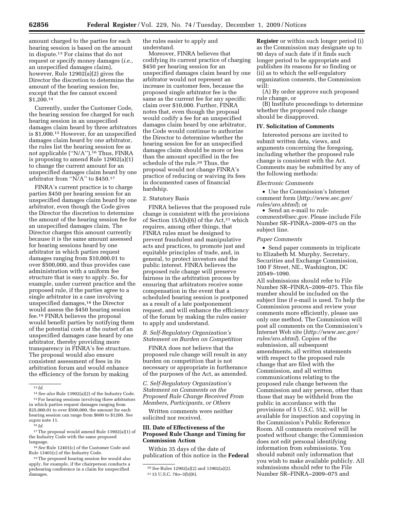amount charged to the parties for each hearing session is based on the amount in dispute.13 For claims that do not request or specify money damages (*i.e.,*  an unspecified damages claim), however, Rule 12902(a)(2) gives the Director the discretion to determine the amount of the hearing session fee, except that the fee cannot exceed \$1,200.14

Currently, under the Customer Code, the hearing session fee charged for each hearing session in an unspecified damages claim heard by three arbitrators is \$1,000.15 However, for an unspecified damages claim heard by one arbitrator, the rules list the hearing session fee as not applicable ("N/A").<sup>16</sup> Thus, FINRA is proposing to amend Rule 12902(a)(1) to change the current amount for an unspecified damages claim heard by one arbitrator from ''N/A'' to \$450.17

FINRA's current practice is to charge parties \$450 per hearing session for an unspecified damages claim heard by one arbitrator, even though the Code gives the Director the discretion to determine the amount of the hearing session fee for an unspecified damages claim. The Director charges this amount currently because it is the same amount assessed for hearing sessions heard by one arbitrator in which parties request damages ranging from \$10,000.01 to over \$500,000, and thus provides case administration with a uniform fee structure that is easy to apply. So, for example, under current practice and the proposed rule, if the parties agree to a single arbitrator in a case involving unspecified damages,<sup>18</sup> the Director would assess the \$450 hearing session fee.19 FINRA believes the proposal would benefit parties by notifying them of the potential costs at the outset of an unspecified damages case heard by one arbitrator, thereby providing more transparency in FINRA's fee structure. The proposal would also ensure consistent assessment of fees in its arbitration forum and would enhance the efficiency of the forum by making

17The proposal would amend Rule 13902(a)(1) of the Industry Code with the same proposed language.

18*See* Rule 12401(c) of the Customer Code and Rule 13401(c) of the Industry Code.

19The proposed hearing session fee would also apply, for example, if the chairperson conducts a prehearing conference in a claim for unspecified damages.

the rules easier to apply and understand.

Moreover, FINRA believes that codifying its current practice of charging \$450 per hearing session for an unspecified damages claim heard by one arbitrator would not represent an increase in customer fees, because the proposed single arbitrator fee is the same as the current fee for any specific claim over \$10,000. Further, FINRA notes that, even though the proposal would codify a fee for an unspecified damages claim heard by one arbitrator, the Code would continue to authorize the Director to determine whether the hearing session fee for an unspecified damages claim should be more or less than the amount specified in the fee schedule of the rule.20 Thus, the proposal would not change FINRA's practice of reducing or waiving its fees in documented cases of financial hardship.

### 2. Statutory Basis

FINRA believes that the proposed rule change is consistent with the provisions of Section  $15A(b)(6)$  of the Act,<sup>21</sup> which requires, among other things, that FINRA rules must be designed to prevent fraudulent and manipulative acts and practices, to promote just and equitable principles of trade, and, in general, to protect investors and the public interest. FINRA believes the proposed rule change will preserve fairness in the arbitration process by ensuring that arbitrators receive some compensation in the event that a scheduled hearing session is postponed as a result of a late postponement request, and will enhance the efficiency of the forum by making the rules easier to apply and understand.

### *B. Self-Regulatory Organization's Statement on Burden on Competition*

FINRA does not believe that the proposed rule change will result in any burden on competition that is not necessary or appropriate in furtherance of the purposes of the Act, as amended.

*C. Self-Regulatory Organization's Statement on Comments on the Proposed Rule Change Received From Members, Participants, or Others* 

Written comments were neither solicited nor received.

### **III. Date of Effectiveness of the Proposed Rule Change and Timing for Commission Action**

Within 35 days of the date of publication of this notice in the **Federal** 

**Register** or within such longer period (i) as the Commission may designate up to 90 days of such date if it finds such longer period to be appropriate and publishes its reasons for so finding or (ii) as to which the self-regulatory organization consents, the Commission will:

(A) By order approve such proposed rule change, or

(B) Institute proceedings to determine whether the proposed rule change should be disapproved.

### **IV. Solicitation of Comments**

Interested persons are invited to submit written data, views, and arguments concerning the foregoing, including whether the proposed rule change is consistent with the Act. Comments may be submitted by any of the following methods:

#### *Electronic Comments*

• Use the Commission's Internet comment form (*http://www.sec.gov/ rules/sro.shtml*); or

• Send an e-mail to *rulecomments@sec.gov.* Please include File Number SR–FINRA–2009–075 on the subject line.

#### *Paper Comments*

• Send paper comments in triplicate to Elizabeth M. Murphy, Secretary, Securities and Exchange Commission, 100 F Street, NE., Washington, DC 20549–1090.

All submissions should refer to File Number SR–FINRA–2009–075. This file number should be included on the subject line if e-mail is used. To help the Commission process and review your comments more efficiently, please use only one method. The Commission will post all comments on the Commission's Internet Web site (*http://www.sec.gov/ rules/sro.shtml*). Copies of the submission, all subsequent amendments, all written statements with respect to the proposed rule change that are filed with the Commission, and all written communications relating to the proposed rule change between the Commission and any person, other than those that may be withheld from the public in accordance with the provisions of 5 U.S.C. 552, will be available for inspection and copying in the Commission's Public Reference Room. All comments received will be posted without change; the Commission does not edit personal identifying information from submissions. You should submit only information that you wish to make available publicly. All submissions should refer to the File Number SR–FINRA–2009–075 and

<sup>13</sup> *Id.* 

<sup>14</sup>*See also* Rule 13902(a)(2) of the Industry Code. 15For hearing sessions involving three arbitrators in which parties request damages ranging from \$25,000.01 to over \$500,000, the amount for each hearing session can range from \$600 to \$1200. *See supra* note 11.

<sup>16</sup> *Id.* 

<sup>20</sup>*See* Rules 12902(a)(2) and 13902(a)(2). 21 15 U.S.C. 78*o*–3(b)(6).